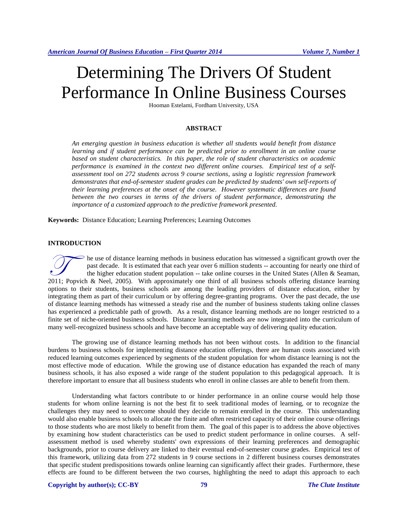# Determining The Drivers Of Student Performance In Online Business Courses

Hooman Estelami, Fordham University, USA

#### **ABSTRACT**

*An emerging question in business education is whether all students would benefit from distance learning and if student performance can be predicted prior to enrollment in an online course based on student characteristics. In this paper, the role of student characteristics on academic performance is examined in the context two different online courses. Empirical test of a selfassessment tool on 272 students across 9 course sections, using a logistic regression framework demonstrates that end-of-semester student grades can be predicted by students' own self-reports of their learning preferences at the onset of the course. However systematic differences are found*  between the two courses in terms of the drivers of student performance, demonstrating the *importance of a customized approach to the predictive framework presented.*

**Keywords:** Distance Education; Learning Preferences; Learning Outcomes

# **INTRODUCTION**

he use of distance learning methods in business education has witnessed a significant growth over the past decade. It is estimated that each year over 6 million students -- accounting for nearly one third of the higher education student population -- take online courses in the United States (Allen & Seaman, The use of distance learning methods in business education has witnessed a significant growth over the past decade. It is estimated that each year over 6 million students -- accounting for nearly one third of the higher ed options to their students, business schools are among the leading providers of distance education, either by integrating them as part of their curriculum or by offering degree-granting programs. Over the past decade, the use of distance learning methods has witnessed a steady rise and the number of business students taking online classes has experienced a predictable path of growth. As a result, distance learning methods are no longer restricted to a finite set of niche-oriented business schools. Distance learning methods are now integrated into the curriculum of many well-recognized business schools and have become an acceptable way of delivering quality education.

The growing use of distance learning methods has not been without costs. In addition to the financial burdens to business schools for implementing distance education offerings, there are human costs associated with reduced learning outcomes experienced by segments of the student population for whom distance learning is not the most effective mode of education. While the growing use of distance education has expanded the reach of many business schools, it has also exposed a wide range of the student population to this pedagogical approach. It is therefore important to ensure that all business students who enroll in online classes are able to benefit from them.

Understanding what factors contribute to or hinder performance in an online course would help those students for whom online learning is not the best fit to seek traditional modes of learning, or to recognize the challenges they may need to overcome should they decide to remain enrolled in the course. This understanding would also enable business schools to allocate the finite and often restricted capacity of their online course offerings to those students who are most likely to benefit from them. The goal of this paper is to address the above objectives by examining how student characteristics can be used to predict student performance in online courses. A selfassessment method is used whereby students' own expressions of their learning preferences and demographic backgrounds, prior to course delivery are linked to their eventual end-of-semester course grades. Empirical test of this framework, utilizing data from 272 students in 9 course sections in 2 different business courses demonstrates that specific student predispositions towards online learning can significantly affect their grades. Furthermore, these effects are found to be different between the two courses, highlighting the need to adapt this approach to each

#### **Copyright by author(s)[; CC-BY](http://creativecommons.org/licenses/by/3.0/) 79** *[The Clute Institute](http://www.cluteinstitute.com/)*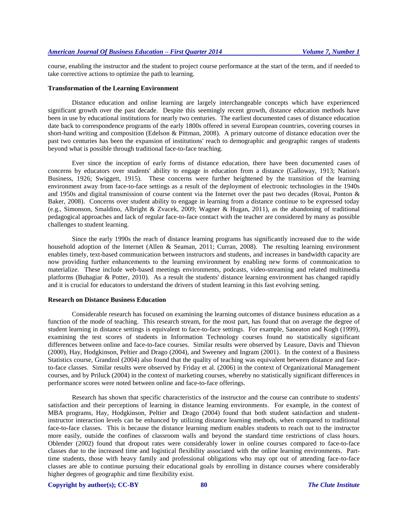course, enabling the instructor and the student to project course performance at the start of the term, and if needed to take corrective actions to optimize the path to learning.

#### **Transformation of the Learning Environment**

Distance education and online learning are largely interchangeable concepts which have experienced significant growth over the past decade. Despite this seemingly recent growth, distance education methods have been in use by educational institutions for nearly two centuries. The earliest documented cases of distance education date back to correspondence programs of the early 1800s offered in several European countries, covering courses in short-hand writing and composition (Edelson & Pittman, 2008). A primary outcome of distance education over the past two centuries has been the expansion of institutions' reach to demographic and geographic ranges of students beyond what is possible through traditional face-to-face teaching.

Ever since the inception of early forms of distance education, there have been documented cases of concerns by educators over students' ability to engage in education from a distance (Galloway, 1913; Nation's Business, 1926; Swiggett, 1915). These concerns were further heightened by the transition of the learning environment away from face-to-face settings as a result of the deployment of electronic technologies in the 1940s and 1950s and digital transmission of course content via the Internet over the past two decades (Rovai, Ponton & Baker, 2008). Concerns over student ability to engage in learning from a distance continue to be expressed today (e.g., Simonson, Smaldino, Albright & Zvacek, 2009; Wagner & Hugan, 2011), as the abandoning of traditional pedagogical approaches and lack of regular face-to-face contact with the teacher are considered by many as possible challenges to student learning.

Since the early 1990s the reach of distance learning programs has significantly increased due to the wide household adoption of the Internet (Allen & Seaman, 2011; Curran, 2008). The resulting learning environment enables timely, text-based communication between instructors and students, and increases in bandwidth capacity are now providing further enhancements to the learning environment by enabling new forms of communication to materialize. These include web-based meetings environments, podcasts, video-streaming and related multimedia platforms (Buhagiar & Potter, 2010). As a result the students' distance learning environment has changed rapidly and it is crucial for educators to understand the drivers of student learning in this fast evolving setting.

## **Research on Distance Business Education**

Considerable research has focused on examining the learning outcomes of distance business education as a function of the mode of teaching. This research stream, for the most part, has found that on average the degree of student learning in distance settings is equivalent to face-to-face settings. For example, Saneaton and Kogh (1999), examining the test scores of students in Information Technology courses found no statistically significant differences between online and face-to-face courses. Similar results were observed by Leasure, Davis and Thievon (2000), Hay, Hodgkinson, Peltier and Drago (2004), and Sweeney and Ingram (2001). In the context of a Business Statistics course, Grandzol (2004) also found that the quality of teaching was equivalent between distance and faceto-face classes. Similar results were observed by Friday et al. (2006) in the context of Organizational Management courses, and by Priluck (2004) in the context of marketing courses, whereby no statistically significant differences in performance scores were noted between online and face-to-face offerings.

Research has shown that specific characteristics of the instructor and the course can contribute to students' satisfaction and their perceptions of learning in distance learning environments. For example, in the context of MBA programs, Hay, Hodgkinson, Peltier and Drago (2004) found that both student satisfaction and studentinstructor interaction levels can be enhanced by utilizing distance learning methods, when compared to traditional face-to-face classes. This is because the distance learning medium enables students to reach out to the instructor more easily, outside the confines of classroom walls and beyond the standard time restrictions of class hours. Oblender (2002) found that dropout rates were considerably lower in online courses compared to face-to-face classes due to the increased time and logistical flexibility associated with the online learning environments. Parttime students, those with heavy family and professional obligations who may opt out of attending face-to-face classes are able to continue pursuing their educational goals by enrolling in distance courses where considerably higher degrees of geographic and time flexibility exist.

#### **Copyright by author(s)[; CC-BY](http://creativecommons.org/licenses/by/3.0/) 80** *[The Clute Institute](http://www.cluteinstitute.com/)*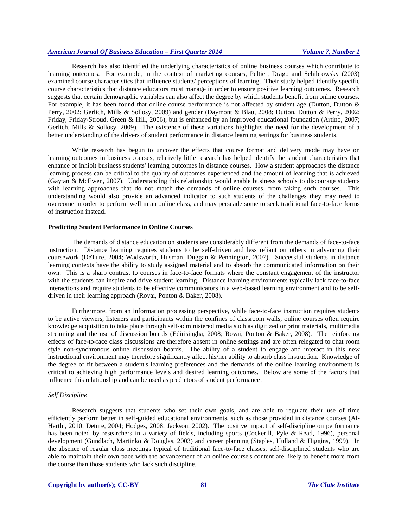Research has also identified the underlying characteristics of online business courses which contribute to learning outcomes. For example, in the context of marketing courses, Peltier, Drago and Schibrowsky (2003) examined course characteristics that influence students' perceptions of learning. Their study helped identify specific course characteristics that distance educators must manage in order to ensure positive learning outcomes. Research suggests that certain demographic variables can also affect the degree by which students benefit from online courses. For example, it has been found that online course performance is not affected by student age (Dutton, Dutton & Perry, 2002; Gerlich, Mills & Sollosy, 2009) and gender (Daymont & Blau, 2008; Dutton, Dutton & Perry, 2002; Friday, Friday-Stroud, Green & Hill, 2006), but is enhanced by an improved educational foundation (Artino, 2007; Gerlich, Mills & Sollosy, 2009). The existence of these variations highlights the need for the development of a better understanding of the drivers of student performance in distance learning settings for business students.

While research has begun to uncover the effects that course format and delivery mode may have on learning outcomes in business courses, relatively little research has helped identify the student characteristics that enhance or inhibit business students' learning outcomes in distance courses. How a student approaches the distance learning process can be critical to the quality of outcomes experienced and the amount of learning that is achieved (Gaytan & McEwen, 2007). Understanding this relationship would enable business schools to discourage students with learning approaches that do not match the demands of online courses, from taking such courses. This understanding would also provide an advanced indicator to such students of the challenges they may need to overcome in order to perform well in an online class, and may persuade some to seek traditional face-to-face forms of instruction instead.

#### **Predicting Student Performance in Online Courses**

The demands of distance education on students are considerably different from the demands of face-to-face instruction. Distance learning requires students to be self-driven and less reliant on others in advancing their coursework (DeTure, 2004; Wadsworth, Husman, Duggan & Pennington, 2007). Successful students in distance learning contexts have the ability to study assigned material and to absorb the communicated information on their own. This is a sharp contrast to courses in face-to-face formats where the constant engagement of the instructor with the students can inspire and drive student learning. Distance learning environments typically lack face-to-face interactions and require students to be effective communicators in a web-based learning environment and to be selfdriven in their learning approach (Rovai, Ponton & Baker, 2008).

Furthermore, from an information processing perspective, while face-to-face instruction requires students to be active viewers, listeners and participants within the confines of classroom walls, online courses often require knowledge acquisition to take place through self-administered media such as digitized or print materials, multimedia streaming and the use of discussion boards (Edirisingha, 2008; Rovai, Ponton & Baker, 2008). The reinforcing effects of face-to-face class discussions are therefore absent in online settings and are often relegated to chat room style non-synchronous online discussion boards. The ability of a student to engage and interact in this new instructional environment may therefore significantly affect his/her ability to absorb class instruction. Knowledge of the degree of fit between a student's learning preferences and the demands of the online learning environment is critical to achieving high performance levels and desired learning outcomes. Below are some of the factors that influence this relationship and can be used as predictors of student performance:

#### *Self Discipline*

Research suggests that students who set their own goals, and are able to regulate their use of time efficiently perform better in self-guided educational environments, such as those provided in distance courses (Al-Harthi, 2010; Deture, 2004; Hodges, 2008; Jackson, 2002). The positive impact of self-discipline on performance has been noted by researchers in a variety of fields, including sports (Cockerill, Pyle & Read, 1996), personal development (Gundlach, Martinko & Douglas, 2003) and career planning (Staples, Hulland & Higgins, 1999). In the absence of regular class meetings typical of traditional face-to-face classes, self-disciplined students who are able to maintain their own pace with the advancement of an online course's content are likely to benefit more from the course than those students who lack such discipline.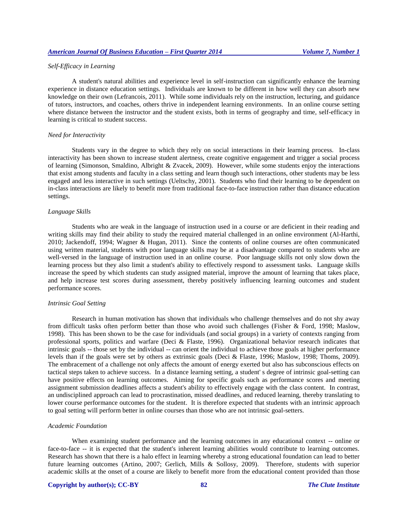# *Self-Efficacy in Learning*

A student's natural abilities and experience level in self-instruction can significantly enhance the learning experience in distance education settings. Individuals are known to be different in how well they can absorb new knowledge on their own (Lefrancois, 2011). While some individuals rely on the instruction, lecturing, and guidance of tutors, instructors, and coaches, others thrive in independent learning environments. In an online course setting where distance between the instructor and the student exists, both in terms of geography and time, self-efficacy in learning is critical to student success.

#### *Need for Interactivity*

Students vary in the degree to which they rely on social interactions in their learning process. In-class interactivity has been shown to increase student alertness, create cognitive engagement and trigger a social process of learning (Simonson, Smaldino, Albright & Zvacek, 2009). However, while some students enjoy the interactions that exist among students and faculty in a class setting and learn though such interactions, other students may be less engaged and less interactive in such settings (Ueltschy, 2001). Students who find their learning to be dependent on in-class interactions are likely to benefit more from traditional face-to-face instruction rather than distance education settings.

#### *Language Skills*

Students who are weak in the language of instruction used in a course or are deficient in their reading and writing skills may find their ability to study the required material challenged in an online environment (Al-Harthi, 2010; Jackendoff, 1994; Wagner & Hugan, 2011). Since the contents of online courses are often communicated using written material, students with poor language skills may be at a disadvantage compared to students who are well-versed in the language of instruction used in an online course. Poor language skills not only slow down the learning process but they also limit a student's ability to effectively respond to assessment tasks. Language skills increase the speed by which students can study assigned material, improve the amount of learning that takes place, and help increase test scores during assessment, thereby positively influencing learning outcomes and student performance scores.

#### *Intrinsic Goal Setting*

Research in human motivation has shown that individuals who challenge themselves and do not shy away from difficult tasks often perform better than those who avoid such challenges (Fisher & Ford, 1998; Maslow, 1998). This has been shown to be the case for individuals (and social groups) in a variety of contexts ranging from professional sports, politics and warfare (Deci & Flaste, 1996). Organizational behavior research indicates that intrinsic goals -- those set by the individual -- can orient the individual to achieve those goals at higher performance levels than if the goals were set by others as extrinsic goals (Deci & Flaste, 1996; Maslow, 1998; Thoms, 2009). The embracement of a challenge not only affects the amount of energy exerted but also has subconscious effects on tactical steps taken to achieve success. In a distance learning setting, a student' s degree of intrinsic goal-setting can have positive effects on learning outcomes. Aiming for specific goals such as performance scores and meeting assignment submission deadlines affects a student's ability to effectively engage with the class content. In contrast, an undisciplined approach can lead to procrastination, missed deadlines, and reduced learning, thereby translating to lower course performance outcomes for the student. It is therefore expected that students with an intrinsic approach to goal setting will perform better in online courses than those who are not intrinsic goal-setters.

# *Academic Foundation*

When examining student performance and the learning outcomes in any educational context -- online or face-to-face -- it is expected that the student's inherent learning abilities would contribute to learning outcomes. Research has shown that there is a halo effect in learning whereby a strong educational foundation can lead to better future learning outcomes (Artino, 2007; Gerlich, Mills & Sollosy, 2009). Therefore, students with superior academic skills at the onset of a course are likely to benefit more from the educational content provided than those

#### **Copyright by author(s)[; CC-BY](http://creativecommons.org/licenses/by/3.0/) 82** *[The Clute Institute](http://www.cluteinstitute.com/)*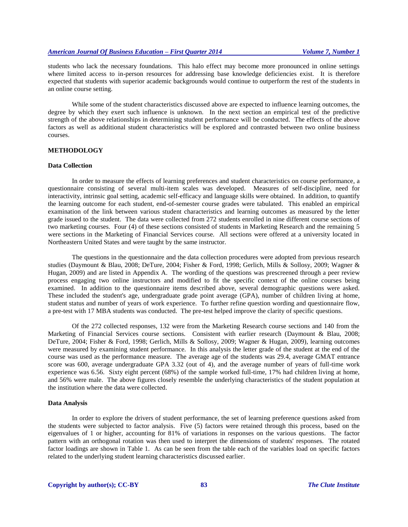students who lack the necessary foundations. This halo effect may become more pronounced in online settings where limited access to in-person resources for addressing base knowledge deficiencies exist. It is therefore expected that students with superior academic backgrounds would continue to outperform the rest of the students in an online course setting.

While some of the student characteristics discussed above are expected to influence learning outcomes, the degree by which they exert such influence is unknown. In the next section an empirical test of the predictive strength of the above relationships in determining student performance will be conducted. The effects of the above factors as well as additional student characteristics will be explored and contrasted between two online business courses.

# **METHODOLOGY**

#### **Data Collection**

In order to measure the effects of learning preferences and student characteristics on course performance, a questionnaire consisting of several multi-item scales was developed. Measures of self-discipline, need for interactivity, intrinsic goal setting, academic self-efficacy and language skills were obtained. In addition, to quantify the learning outcome for each student, end-of-semester course grades were tabulated. This enabled an empirical examination of the link between various student characteristics and learning outcomes as measured by the letter grade issued to the student. The data were collected from 272 students enrolled in nine different course sections of two marketing courses. Four (4) of these sections consisted of students in Marketing Research and the remaining 5 were sections in the Marketing of Financial Services course. All sections were offered at a university located in Northeastern United States and were taught by the same instructor.

The questions in the questionnaire and the data collection procedures were adopted from previous research studies (Daymount & Blau, 2008; DeTure, 2004; Fisher & Ford, 1998; Gerlich, Mills & Sollosy, 2009; Wagner & Hugan, 2009) and are listed in Appendix A. The wording of the questions was prescreened through a peer review process engaging two online instructors and modified to fit the specific context of the online courses being examined. In addition to the questionnaire items described above, several demographic questions were asked. These included the student's age, undergraduate grade point average (GPA), number of children living at home, student status and number of years of work experience. To further refine question wording and questionnaire flow, a pre-test with 17 MBA students was conducted. The pre-test helped improve the clarity of specific questions.

Of the 272 collected responses, 132 were from the Marketing Research course sections and 140 from the Marketing of Financial Services course sections. Consistent with earlier research (Daymount & Blau, 2008; DeTure, 2004; Fisher & Ford, 1998; Gerlich, Mills & Sollosy, 2009; Wagner & Hugan, 2009), learning outcomes were measured by examining student performance. In this analysis the letter grade of the student at the end of the course was used as the performance measure. The average age of the students was 29.4, average GMAT entrance score was 600, average undergraduate GPA 3.32 (out of 4), and the average number of years of full-time work experience was 6.56. Sixty eight percent (68%) of the sample worked full-time, 17% had children living at home, and 56% were male. The above figures closely resemble the underlying characteristics of the student population at the institution where the data were collected.

#### **Data Analysis**

In order to explore the drivers of student performance, the set of learning preference questions asked from the students were subjected to factor analysis. Five (5) factors were retained through this process, based on the eigenvalues of 1 or higher, accounting for 81% of variations in responses on the various questions. The factor pattern with an orthogonal rotation was then used to interpret the dimensions of students' responses. The rotated factor loadings are shown in Table 1. As can be seen from the table each of the variables load on specific factors related to the underlying student learning characteristics discussed earlier.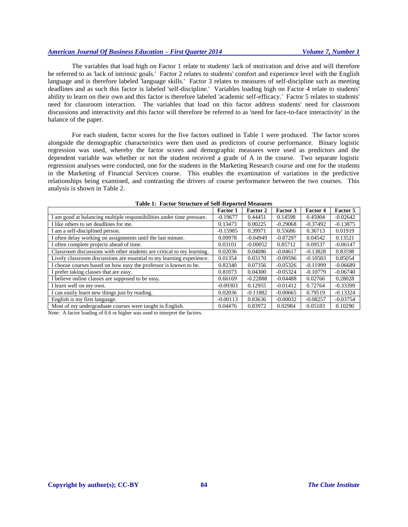The variables that load high on Factor 1 relate to students' lack of motivation and drive and will therefore be referred to as 'lack of intrinsic goals.' Factor 2 relates to students' comfort and experience level with the English language and is therefore labeled 'language skills.' Factor 3 relates to measures of self-discipline such as meeting deadlines and as such this factor is labeled 'self-discipline.' Variables loading high on Factor 4 relate to students' ability to learn on their own and this factor is therefore labeled 'academic self-efficacy.' Factor 5 relates to students' need for classroom interaction. The variables that load on this factor address students' need for classroom discussions and interactivity and this factor will therefore be referred to as 'need for face-to-face interactivity' in the balance of the paper.

For each student, factor scores for the five factors outlined in Table 1 were produced. The factor scores alongside the demographic characteristics were then used as predictors of course performance. Binary logistic regression was used, whereby the factor scores and demographic measures were used as predictors and the dependent variable was whether or not the student received a grade of A in the course. Two separate logistic regression analyses were conducted, one for the students in the Marketing Research course and one for the students in the Marketing of Financial Services course. This enables the examination of variations in the predictive relationships being examined, and contrasting the drivers of course performance between the two courses. This analysis is shown in Table 2.

| ruon 11 - Recor du ueun e or den reporteu meusure.                     |                 |                 |            |            |            |
|------------------------------------------------------------------------|-----------------|-----------------|------------|------------|------------|
|                                                                        | <b>Factor 1</b> | <b>Factor 2</b> | Factor 3   | Factor 4   | Factor 5   |
| I am good at balancing multiple responsibilities under time pressure.  | $-0.19677$      | 0.44451         | 0.14598    | 0.45904    | $-0.02642$ |
| I like others to set deadlines for me.                                 | 0.13473         | 0.00225         | $-0.29068$ | $-0.37492$ | $-0.13875$ |
| I am a self-disciplined person.                                        | $-0.15985$      | 0.39971         | 0.55686    | 0.36713    | 0.01919    |
| I often delay working on assignments until the last minute.            | 0.09978         | $-0.04949$      | $-0.87297$ | 0.04542    | 0.13521    |
| I often complete projects ahead of time.                               | 0.03101         | $-0.00052$      | 0.85712    | 0.09537    | $-0.06147$ |
| Classroom discussions with other students are critical to my learning. | 0.02036         | 0.04086         | $-0.04617$ | $-0.13828$ | 0.83598    |
| Lively classroom discussions are essential to my learning experience.  | 0.01354         | 0.03170         | $-0.09596$ | $-0.10583$ | 0.85054    |
| I choose courses based on how easy the professor is known to be.       | 0.82340         | 0.07356         | $-0.05326$ | $-0.11999$ | $-0.06689$ |
| I prefer taking classes that are easy.                                 | 0.81073         | 0.04300         | $-0.05324$ | $-0.10779$ | $-0.06740$ |
| I believe online classes are supposed to be easy.                      | 0.66169         | $-0.22888$      | $-0.04488$ | 0.02766    | 0.28028    |
| I learn well on my own.                                                | $-0.09303$      | 0.12955         | $-0.01412$ | 0.72764    | $-0.33399$ |
| I can easily learn new things just by reading.                         | 0.02036         | $-0.11882$      | $-0.00665$ | 0.79519    | $-0.13324$ |
| English is my first language.                                          | $-0.00113$      | 0.83636         | $-0.00032$ | $-0.08257$ | $-0.03754$ |
| Most of my undergraduate courses were taught in English.               | 0.04476         | 0.83972         | 0.02984    | 0.05183    | 0.10290    |

|  |  | Table 1: Factor Structure of Self-Reported Measures |  |  |  |
|--|--|-----------------------------------------------------|--|--|--|
|--|--|-----------------------------------------------------|--|--|--|

Note: A factor loading of 0.6 or higher was used to interpret the factors.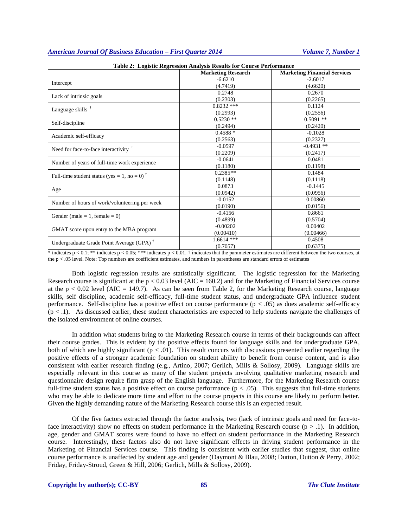|                                                                            | <b>Marketing Research</b> | <b>Marketing Financial Services</b> |
|----------------------------------------------------------------------------|---------------------------|-------------------------------------|
|                                                                            | $-6.6210$                 | $-2.6017$                           |
| Intercept                                                                  | (4.7419)                  | (4.6620)                            |
|                                                                            | 0.2748                    | 0.2670                              |
| Lack of intrinsic goals                                                    | (0.2303)                  | (0.2265)                            |
| Language skills $†$                                                        | $0.8232$ ***              | 0.1124                              |
|                                                                            | (0.2993)                  | (0.2556)                            |
|                                                                            | $0.5230**$                | $0.5091**$                          |
| Self-discipline                                                            | (0.2494)                  | (0.2420)                            |
| Academic self-efficacy                                                     | $0.4588*$                 | $-0.1028$                           |
|                                                                            | (0.2563)                  | (0.2327)                            |
| Need for face-to-face interactivity <sup>†</sup>                           | $-0.0597$                 | $-0.4931$ **                        |
|                                                                            | (0.2209)                  | (0.2417)                            |
| Number of years of full-time work experience                               | $-0.0641$                 | 0.0481                              |
|                                                                            | (0.1180)                  | (0.1198)                            |
| Full-time student status (yes = 1, no = 0) <sup><math>\dagger</math></sup> | $0.2385**$                | 0.1484                              |
|                                                                            | (0.1148)                  | (0.1118)                            |
| Age                                                                        | 0.0873                    | $-0.1445$                           |
|                                                                            | (0.0942)                  | (0.0956)                            |
| Number of hours of work/volunteering per week                              | $-0.0152$                 | 0.00860                             |
|                                                                            | (0.0190)                  | (0.0156)                            |
| Gender (male = 1, female = 0)                                              | $-0.4156$                 | 0.8661                              |
|                                                                            | (0.4899)                  | (0.5704)                            |
| GMAT score upon entry to the MBA program                                   | $-0.00202$                | 0.00402                             |
|                                                                            | (0.00410)                 | (0.00466)                           |
| Undergraduate Grade Point Average (GPA) <sup>†</sup>                       | $1.6614$ ***              | 0.4508                              |
|                                                                            | (0.7057)                  | (0.6375)                            |

|  | Table 2: Logistic Regression Analysis Results for Course Performance |
|--|----------------------------------------------------------------------|
|--|----------------------------------------------------------------------|

\* indicates  $p < 0.1$ ; \*\* indicates  $p < 0.05$ ; \*\*\* indicates  $p < 0.01$ . † indicates that the parameter estimates are different between the two courses, at the p < .05 level. Note: Top numbers are coefficient estimates, and numbers in parentheses are standard errors of estimates

Both logistic regression results are statistically significant. The logistic regression for the Marketing Research course is significant at the  $p < 0.03$  level (AIC = 160.2) and for the Marketing of Financial Services course at the  $p < 0.02$  level (AIC = 149.7). As can be seen from Table 2, for the Marketing Research course, language skills, self discipline, academic self-efficacy, full-time student status, and undergraduate GPA influence student performance. Self-discipline has a positive effect on course performance  $(p < .05)$  as does academic self-efficacy  $(p < 0.1)$ . As discussed earlier, these student characteristics are expected to help students navigate the challenges of the isolated environment of online courses.

In addition what students bring to the Marketing Research course in terms of their backgrounds can affect their course grades. This is evident by the positive effects found for language skills and for undergraduate GPA, both of which are highly significant  $(p < .01)$ . This result concurs with discussions presented earlier regarding the positive effects of a stronger academic foundation on student ability to benefit from course content, and is also consistent with earlier research finding (e.g., Artino, 2007; Gerlich, Mills & Sollosy, 2009). Language skills are especially relevant in this course as many of the student projects involving qualitative marketing research and questionnaire design require firm grasp of the English language. Furthermore, for the Marketing Research course full-time student status has a positive effect on course performance  $(p < .05)$ . This suggests that full-time students who may be able to dedicate more time and effort to the course projects in this course are likely to perform better. Given the highly demanding nature of the Marketing Research course this is an expected result.

Of the five factors extracted through the factor analysis, two (lack of intrinsic goals and need for face-toface interactivity) show no effects on student performance in the Marketing Research course  $(p > 0.1)$ . In addition, age, gender and GMAT scores were found to have no effect on student performance in the Marketing Research course. Interestingly, these factors also do not have significant effects in driving student performance in the Marketing of Financial Services course. This finding is consistent with earlier studies that suggest, that online course performance is unaffected by student age and gender (Daymont & Blau, 2008; Dutton, Dutton & Perry, 2002; Friday, Friday-Stroud, Green & Hill, 2006; Gerlich, Mills & Sollosy, 2009).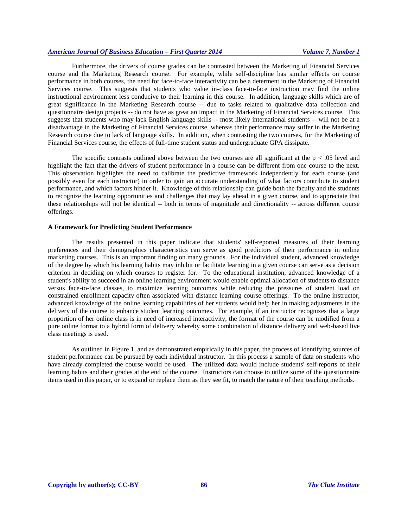Furthermore, the drivers of course grades can be contrasted between the Marketing of Financial Services course and the Marketing Research course. For example, while self-discipline has similar effects on course performance in both courses, the need for face-to-face interactivity can be a determent in the Marketing of Financial Services course. This suggests that students who value in-class face-to-face instruction may find the online instructional environment less conducive to their learning in this course. In addition, language skills which are of great significance in the Marketing Research course -- due to tasks related to qualitative data collection and questionnaire design projects -- do not have as great an impact in the Marketing of Financial Services course. This suggests that students who may lack English language skills -- most likely international students -- will not be at a disadvantage in the Marketing of Financial Services course, whereas their performance may suffer in the Marketing Research course due to lack of language skills. In addition, when contrasting the two courses, for the Marketing of Financial Services course, the effects of full-time student status and undergraduate GPA dissipate.

The specific contrasts outlined above between the two courses are all significant at the  $p < .05$  level and highlight the fact that the drivers of student performance in a course can be different from one course to the next. This observation highlights the need to calibrate the predictive framework independently for each course (and possibly even for each instructor) in order to gain an accurate understanding of what factors contribute to student performance, and which factors hinder it. Knowledge of this relationship can guide both the faculty and the students to recognize the learning opportunities and challenges that may lay ahead in a given course, and to appreciate that these relationships will not be identical -- both in terms of magnitude and directionality -- across different course offerings.

# **A Framework for Predicting Student Performance**

The results presented in this paper indicate that students' self-reported measures of their learning preferences and their demographics characteristics can serve as good predictors of their performance in online marketing courses. This is an important finding on many grounds. For the individual student, advanced knowledge of the degree by which his learning habits may inhibit or facilitate learning in a given course can serve as a decision criterion in deciding on which courses to register for. To the educational institution, advanced knowledge of a student's ability to succeed in an online learning environment would enable optimal allocation of students to distance versus face-to-face classes, to maximize learning outcomes while reducing the pressures of student load on constrained enrollment capacity often associated with distance learning course offerings. To the online instructor, advanced knowledge of the online learning capabilities of her students would help her in making adjustments in the delivery of the course to enhance student learning outcomes. For example, if an instructor recognizes that a large proportion of her online class is in need of increased interactivity, the format of the course can be modified from a pure online format to a hybrid form of delivery whereby some combination of distance delivery and web-based live class meetings is used.

As outlined in Figure 1, and as demonstrated empirically in this paper, the process of identifying sources of student performance can be pursued by each individual instructor. In this process a sample of data on students who have already completed the course would be used. The utilized data would include students' self-reports of their learning habits and their grades at the end of the course. Instructors can choose to utilize some of the questionnaire items used in this paper, or to expand or replace them as they see fit, to match the nature of their teaching methods.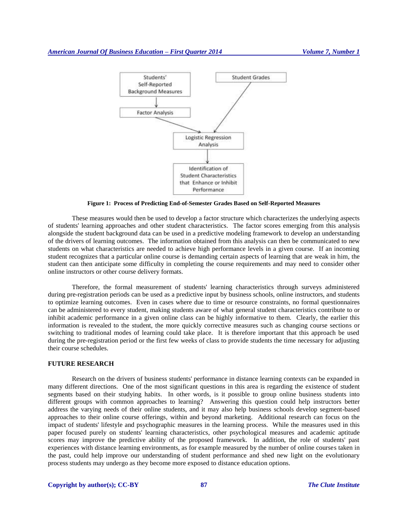

**Figure 1: Process of Predicting End-of-Semester Grades Based on Self-Reported Measures**

These measures would then be used to develop a factor structure which characterizes the underlying aspects of students' learning approaches and other student characteristics. The factor scores emerging from this analysis alongside the student background data can be used in a predictive modeling framework to develop an understanding of the drivers of learning outcomes. The information obtained from this analysis can then be communicated to new students on what characteristics are needed to achieve high performance levels in a given course. If an incoming student recognizes that a particular online course is demanding certain aspects of learning that are weak in him, the student can then anticipate some difficulty in completing the course requirements and may need to consider other online instructors or other course delivery formats.

Therefore, the formal measurement of students' learning characteristics through surveys administered during pre-registration periods can be used as a predictive input by business schools, online instructors, and students to optimize learning outcomes. Even in cases where due to time or resource constraints, no formal questionnaires can be administered to every student, making students aware of what general student characteristics contribute to or inhibit academic performance in a given online class can be highly informative to them. Clearly, the earlier this information is revealed to the student, the more quickly corrective measures such as changing course sections or switching to traditional modes of learning could take place. It is therefore important that this approach be used during the pre-registration period or the first few weeks of class to provide students the time necessary for adjusting their course schedules.

#### **FUTURE RESEARCH**

Research on the drivers of business students' performance in distance learning contexts can be expanded in many different directions. One of the most significant questions in this area is regarding the existence of student segments based on their studying habits. In other words, is it possible to group online business students into different groups with common approaches to learning? Answering this question could help instructors better address the varying needs of their online students, and it may also help business schools develop segment-based approaches to their online course offerings, within and beyond marketing. Additional research can focus on the impact of students' lifestyle and psychographic measures in the learning process. While the measures used in this paper focused purely on students' learning characteristics, other psychological measures and academic aptitude scores may improve the predictive ability of the proposed framework. In addition, the role of students' past experiences with distance learning environments, as for example measured by the number of online courses taken in the past, could help improve our understanding of student performance and shed new light on the evolutionary process students may undergo as they become more exposed to distance education options.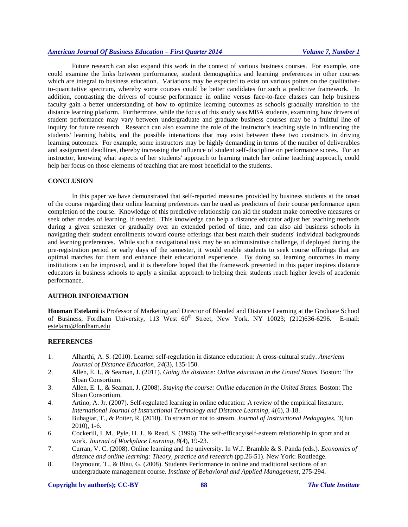Future research can also expand this work in the context of various business courses. For example, one could examine the links between performance, student demographics and learning preferences in other courses which are integral to business education. Variations may be expected to exist on various points on the qualitativeto-quantitative spectrum, whereby some courses could be better candidates for such a predictive framework. In addition, contrasting the drivers of course performance in online versus face-to-face classes can help business faculty gain a better understanding of how to optimize learning outcomes as schools gradually transition to the distance learning platform. Furthermore, while the focus of this study was MBA students, examining how drivers of student performance may vary between undergraduate and graduate business courses may be a fruitful line of inquiry for future research. Research can also examine the role of the instructor's teaching style in influencing the students' learning habits, and the possible interactions that may exist between these two constructs in driving learning outcomes. For example, some instructors may be highly demanding in terms of the number of deliverables and assignment deadlines, thereby increasing the influence of student self-discipline on performance scores. For an instructor, knowing what aspects of her students' approach to learning match her online teaching approach, could help her focus on those elements of teaching that are most beneficial to the students.

#### **CONCLUSION**

In this paper we have demonstrated that self-reported measures provided by business students at the onset of the course regarding their online learning preferences can be used as predictors of their course performance upon completion of the course. Knowledge of this predictive relationship can aid the student make corrective measures or seek other modes of learning, if needed. This knowledge can help a distance educator adjust her teaching methods during a given semester or gradually over an extended period of time, and can also aid business schools in navigating their student enrollments toward course offerings that best match their students' individual backgrounds and learning preferences. While such a navigational task may be an administrative challenge, if deployed during the pre-registration period or early days of the semester, it would enable students to seek course offerings that are optimal matches for them and enhance their educational experience. By doing so, learning outcomes in many institutions can be improved, and it is therefore hoped that the framework presented in this paper inspires distance educators in business schools to apply a similar approach to helping their students reach higher levels of academic performance.

# **AUTHOR INFORMATION**

**Hooman Estelami** is Professor of Marketing and Director of Blended and Distance Learning at the Graduate School of Business, Fordham University, 113 West  $60<sup>th</sup>$  Street, New York, NY 10023; (212)636-6296. E-mail: [estelami@fordham.edu](mailto:estelami@fordham.edu)

# **REFERENCES**

- 1. Alharthi, A. S. (2010). Learner self-regulation in distance education: A cross-cultural study. *American Journal of Distance Education, 24*(3), 135-150.
- 2. Allen, E. I., & Seaman, J. (2011). *Going the distance: Online education in the United States.* Boston: The Sloan Consortium.
- 3. Allen, E. I., & Seaman, J. (2008). *Staying the course: Online education in the United States.* Boston: The Sloan Consortium.
- 4. Artino, A. Jr. (2007). Self-regulated learning in online education: A review of the empirical literature. *International Journal of Instructional Technology and Distance Learning, 4*(6), 3-18.
- 5. Buhagiar, T., & Potter, R. (2010). To stream or not to stream. *Journal of Instructional Pedagogies*, *3*(Jun 2010), 1-6.
- 6. Cockerill, I. M., Pyle, H. J., & Read, S. (1996). The self-efficacy/self-esteem relationship in sport and at work. *Journal of Workplace Learning, 8*(4), 19-23.
- 7. Curran, V. C. (2008). Online learning and the university. In W.J. Bramble & S. Panda (eds.). *Economics of distance and online learning: Theory, practice and research* (pp.26-51). New York: Routledge.
- 8. Daymount, T., & Blau, G. (2008). Students Performance in online and traditional sections of an undergraduate management course. *Institute of Behavioral and Applied Management*, 275-294.

#### **Copyright by author(s)[; CC-BY](http://creativecommons.org/licenses/by/3.0/) 88** *[The Clute Institute](http://www.cluteinstitute.com/)*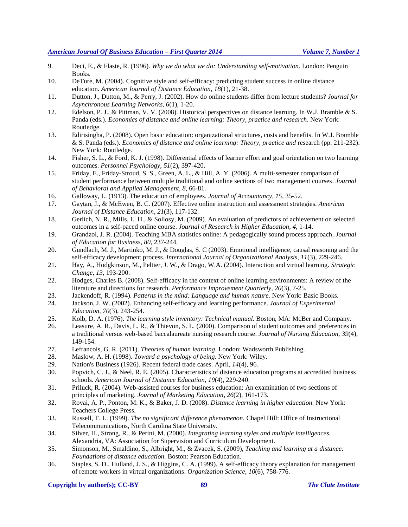- 9. Deci, E., & Flaste, R. (1996). *Why we do what we do: Understanding self-motivation.* London: Penguin Books.
- 10. DeTure, M. (2004). Cognitive style and self-efficacy: predicting student success in online distance education. *American Journal of Distance Education, 18*(1), 21-38.
- 11. Dutton, J., Dutton, M., & Perry, J. (2002). How do online students differ from lecture students? *Journal for Asynchronous Learning Networks, 6*(1), 1-20.
- 12. Edelson, P. J., & Pittman, V. V. (2008). Historical perspectives on distance learning. In W.J. Bramble & S. Panda (eds.). *Economics of distance and online learning: Theory, practice and research*. New York: Routledge.
- 13. Edirisingha, P. (2008). Open basic education: organizational structures, costs and benefits. In W.J. Bramble & S. Panda (eds.). *Economics of distance and online learning: Theory, practice and* research (pp. 211-232). New York: Routledge.
- 14. Fisher, S. L., & Ford, K. J. (1998). Differential effects of learner effort and goal orientation on two learning outcomes. *Personnel Psychology, 51*(2), 397-420.
- 15. Friday, E., Friday-Stroud, S. S., Green, A. L., & Hill, A. Y. (2006). A multi-semester comparison of student performance between multiple traditional and online sections of two management courses. *Journal of Behavioral and Applied Management, 8*, 66-81.
- 16. Galloway, L. (1913). The education of employees. *Journal of Accountancy, 15*, 35-52.
- 17. Gaytan, J., & McEwen, B. C. (2007). Effective online instruction and assessment strategies. *American Journal of Distance Education, 21*(3), 117-132.
- 18. Gerlich, N. R., Mills, L. H., & Sollosy, M. (2009). An evaluation of predictors of achievement on selected outcomes in a self-paced online course. *Journal of Research in Higher Education, 4*, 1-14.
- 19. Grandzol, J. R. (2004). Teaching MBA statistics online: A pedagogically sound process approach. *Journal of Education for Business, 80*, 237-244.
- 20. Gundlach, M. J., Martinko, M. J., & Douglas, S. C (2003). Emotional intelligence, causal reasoning and the self-efficacy development process. *International Journal of Organizational Analysis, 11*(3), 229-246.
- 21. Hay, A., Hodgkinson, M., Peltier, J. W., & Drago, W.A. (2004). Interaction and virtual learning. *Strategic Change, 13*, 193-200.
- 22. Hodges, Charles B. (2008). Self-efficacy in the context of online learning environments: A review of the literature and directions for research. *Performance Improvement Quarterly, 20*(3), 7-25.
- 23. Jackendoff, R. (1994). *Patterns in the mind: Language and human nature.* New York: Basic Books.
- 24. Jackson, J. W. (2002). Enhancing self-efficacy and learning performance. *Journal of Experimental Education, 70*(3), 243-254.
- 25. Kolb, D. A. (1976). *The learning style inventory: Technical manual*. Boston, MA: McBer and Company.
- 26. Leasure, A. R., Davis, L. R., & Thievon, S. L. (2000). Comparison of student outcomes and preferences in a traditional versus web-based baccalaureate nursing research course. *Journal of Nursing Education, 39*(4), 149-154.
- 27. Lefrancois, G. R. (2011). *Theories of human learning*. London: Wadsworth Publishing.
- 28. Maslow, A. H. (1998). *Toward a psychology of being.* New York: Wiley.
- 29. Nation's Business (1926). Recent federal trade cases. April, *14*(4), 96.
- 30. Popvich, C. J., & Neel, R. E. (2005). Characteristics of distance education programs at accredited business schools. *American Journal of Distance Education, 19*(4), 229-240.
- 31. Priluck, R. (2004). Web-assisted courses for business education: An examination of two sections of principles of marketing. *Journal of Marketing Education, 26*(2), 161-173.
- 32. Rovai, A. P., Ponton, M. K., & Baker, J. D. (2008). *Distance learning in higher education.* New York: Teachers College Press.
- 33. Russell, T. L. (1999). *The no significant difference phenomenon.* Chapel Hill: Office of Instructional Telecommunications, North Carolina State University.
- 34. Silver, H., Strong, R., & Perini, M. (2000). *Integrating learning styles and multiple intelligences.* Alexandria, VA: Association for Supervision and Curriculum Development.
- 35. Simonson, M., Smaldino, S., Albright, M., & Zvacek, S. (2009), *Teaching and learning at a distance: Foundations of distance education.* Boston: Pearson Education.
- 36. Staples, S. D., Hulland, J. S., & Higgins, C. A. (1999). A self-efficacy theory explanation for management of remote workers in virtual organizations. *Organization Science, 10*(6), 758-776.

#### **Copyright by author(s)[; CC-BY](http://creativecommons.org/licenses/by/3.0/) 89** *[The Clute Institute](http://www.cluteinstitute.com/)*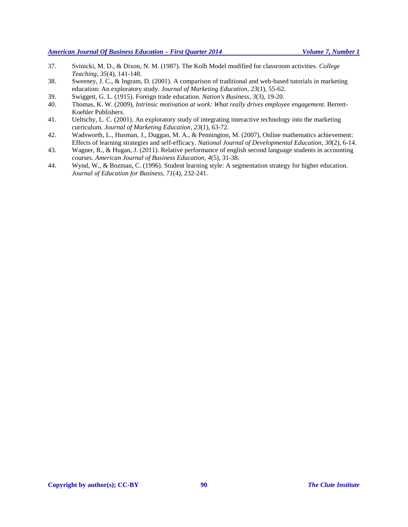- 37. Svinicki, M. D., & Dixon, N. M. (1987). The Kolb Model modified for classroom activities. *College Teaching, 35*(4), 141-148.
- 38. Sweeney, J. C., & Ingram, D. (2001). A comparison of traditional and web-based tutorials in marketing education: An exploratory study. *Journal of Marketing Education, 23*(1), 55-62.
- 39. Swiggett, G. L. (1915). Foreign trade education. *Nation's Business, 3*(3), 19-20.
- 40. Thomas, K. W. (2009), *Intrinsic motivation at work: What really drives employee engagement.* Berrett-Koehler Publishers.
- 41. Ueltschy, L. C. (2001). An exploratory study of integrating interactive technology into the marketing curriculum. *Journal of Marketing Education, 23*(1), 63-72.
- 42. Wadsworth, L., Husman, J., Duggan, M. A., & Pennington, M. (2007), Online mathematics achievement: Effects of learning strategies and self-efficacy. *National Journal of Developmental Education, 30*(2), 6-14.
- 43. Wagner, R., & Hugan, J. (2011). Relative performance of english second language students in accounting courses. *American Journal of Business Education, 4*(5), 31-38.
- 44. Wynd, W., & Bozman, C. (1996). Student learning style: A segmentation strategy for higher education. *Journal of Education for Business, 71*(4), 232-241.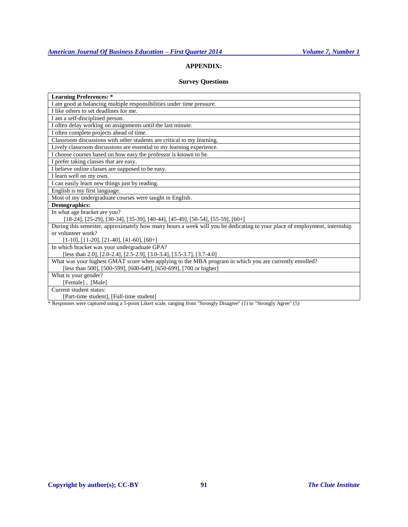# **APPENDIX:**

# **Survey Questions**

| <b>Learning Preferences:</b> *                                                                                           |
|--------------------------------------------------------------------------------------------------------------------------|
| I am good at balancing multiple responsibilities under time pressure.                                                    |
| I like others to set deadlines for me.                                                                                   |
| I am a self-disciplined person.                                                                                          |
| I often delay working on assignments until the last minute.                                                              |
| I often complete projects ahead of time.                                                                                 |
| Classroom discussions with other students are critical to my learning.                                                   |
| Lively classroom discussions are essential to my learning experience.                                                    |
| I choose courses based on how easy the professor is known to be.                                                         |
| I prefer taking classes that are easy.                                                                                   |
| I believe online classes are supposed to be easy.                                                                        |
| I learn well on my own.                                                                                                  |
| I can easily learn new things just by reading.                                                                           |
| English is my first language.                                                                                            |
| Most of my undergraduate courses were taught in English.                                                                 |
| <b>Demographics:</b>                                                                                                     |
| In what age bracket are you?                                                                                             |
| [18-24], [25-29], [30-34], [35-39], [40-44], [45-49], [50-54], [55-59], [60+]                                            |
| During this semester, approximately how many hours a week will you be dedicating to your place of employment, internship |
| or volunteer work?                                                                                                       |
| $[1-10], [11-20], [21-40], [41-60], [60+]$                                                                               |
| In which bracket was your undergraduate GPA?                                                                             |
| [less than 2.0], [2.0-2.4], [2.5-2.9], [3.0-3.4], [3.5-3.7], [3.7-4.0]                                                   |
| What was your highest GMAT score when applying to the MBA program in which you are currently enrolled?                   |
| [less than 500], [500-599], [600-649], [650-699], [700 or higher]                                                        |
| What is your gender?                                                                                                     |
| [Female], [Male]                                                                                                         |
| Current student status:                                                                                                  |
| [Part-time student], [Full-time student]                                                                                 |
| $\ast$ Deepenges were contured using a 5 point Likert seek, renging from "Strongly Disearce" (1) to "Strongly Agree" (5) |

Responses were captured using a 5-point Likert scale, ranging from "Strongly Disagree" (1) to "Strongly Agree" (5)